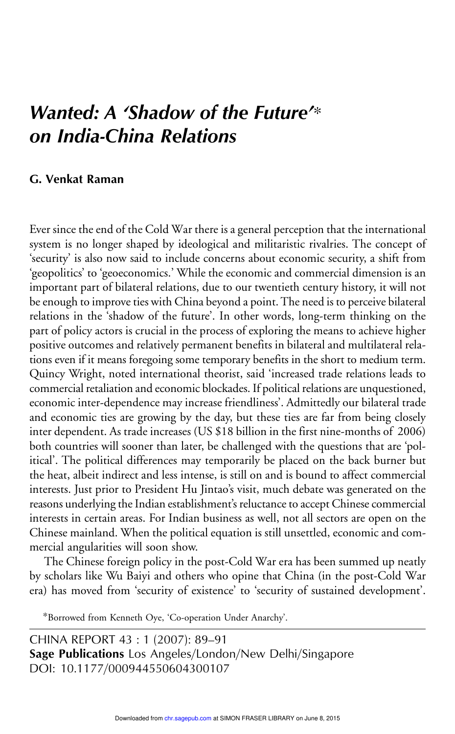## Wanted: A 'Shadow of the Future'<sup>\*</sup> on India-China Relations

## G. Venkat Raman

Ever since the end of the Cold War there is a general perception that the international system is no longer shaped by ideological and militaristic rivalries. The concept of 'security' is also now said to include concerns about economic security, a shift from 'geopolitics' to 'geoeconomics.' While the economic and commercial dimension is an important part of bilateral relations, due to our twentieth century history, it will not be enough to improve ties with China beyond a point. The need is to perceive bilateral relations in the 'shadow of the future'. In other words, long-term thinking on the part of policy actors is crucial in the process of exploring the means to achieve higher positive outcomes and relatively permanent benefits in bilateral and multilateral relations even if it means foregoing some temporary benefits in the short to medium term. Quincy Wright, noted international theorist, said 'increased trade relations leads to commercial retaliation and economic blockades. If political relations are unquestioned, economic inter-dependence may increase friendliness'. Admittedly our bilateral trade and economic ties are growing by the day, but these ties are far from being closely inter dependent. As trade increases (US \$18 billion in the first nine-months of 2006) both countries will sooner than later, be challenged with the questions that are 'political'. The political differences may temporarily be placed on the back burner but the heat, albeit indirect and less intense, is still on and is bound to affect commercial interests. Just prior to President Hu Jintao's visit, much debate was generated on the reasons underlying the Indian establishment's reluctance to accept Chinese commercial interests in certain areas. For Indian business as well, not all sectors are open on the Chinese mainland. When the political equation is still unsettled, economic and commercial angularities will soon show.

The Chinese foreign policy in the post-Cold War era has been summed up neatly by scholars like Wu Baiyi and others who opine that China (in the post-Cold War era) has moved from 'security of existence' to 'security of sustained development'.

∗Borrowed from Kenneth Oye, 'Co-operation Under Anarchy'.

CHINA REPORT 43 : 1 (2007): 89–91 Sage Publications Los Angeles/London/New Delhi/Singapore DOI: 10.1177/000944550604300107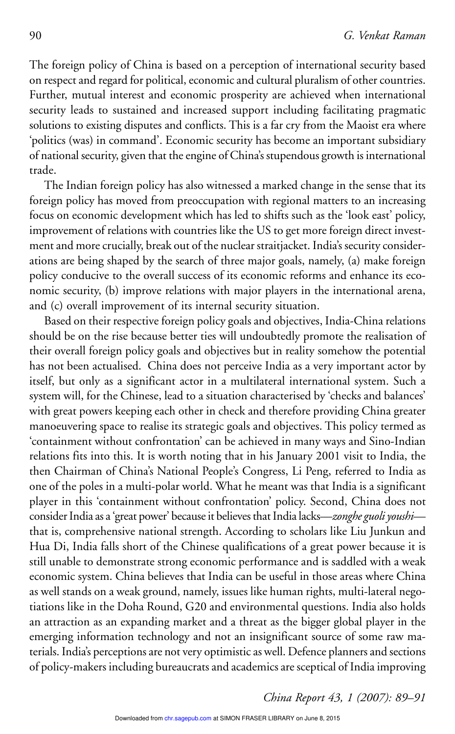The foreign policy of China is based on a perception of international security based on respect and regard for political, economic and cultural pluralism of other countries. Further, mutual interest and economic prosperity are achieved when international security leads to sustained and increased support including facilitating pragmatic solutions to existing disputes and conflicts. This is a far cry from the Maoist era where 'politics (was) in command'. Economic security has become an important subsidiary of national security, given that the engine of China's stupendous growth is international trade.

The Indian foreign policy has also witnessed a marked change in the sense that its foreign policy has moved from preoccupation with regional matters to an increasing focus on economic development which has led to shifts such as the 'look east' policy, improvement of relations with countries like the US to get more foreign direct investment and more crucially, break out of the nuclear straitjacket. India's security considerations are being shaped by the search of three major goals, namely, (a) make foreign policy conducive to the overall success of its economic reforms and enhance its economic security, (b) improve relations with major players in the international arena, and (c) overall improvement of its internal security situation.

Based on their respective foreign policy goals and objectives, India-China relations should be on the rise because better ties will undoubtedly promote the realisation of their overall foreign policy goals and objectives but in reality somehow the potential has not been actualised. China does not perceive India as a very important actor by itself, but only as a significant actor in a multilateral international system. Such a system will, for the Chinese, lead to a situation characterised by 'checks and balances' with great powers keeping each other in check and therefore providing China greater manoeuvering space to realise its strategic goals and objectives. This policy termed as 'containment without confrontation' can be achieved in many ways and Sino-Indian relations fits into this. It is worth noting that in his January 2001 visit to India, the then Chairman of China's National People's Congress, Li Peng, referred to India as one of the poles in a multi-polar world. What he meant was that India is a significant player in this 'containment without confrontation' policy. Second, China does not consider India as a 'great power' because it believes that India lacks—*zonghe guoli youshi* that is, comprehensive national strength. According to scholars like Liu Junkun and Hua Di, India falls short of the Chinese qualifications of a great power because it is still unable to demonstrate strong economic performance and is saddled with a weak economic system. China believes that India can be useful in those areas where China as well stands on a weak ground, namely, issues like human rights, multi-lateral negotiations like in the Doha Round, G20 and environmental questions. India also holds an attraction as an expanding market and a threat as the bigger global player in the emerging information technology and not an insignificant source of some raw materials. India's perceptions are not very optimistic as well. Defence planners and sections of policy-makers including bureaucrats and academics are sceptical of India improving

*China Report 43, 1 (2007): 89–91*